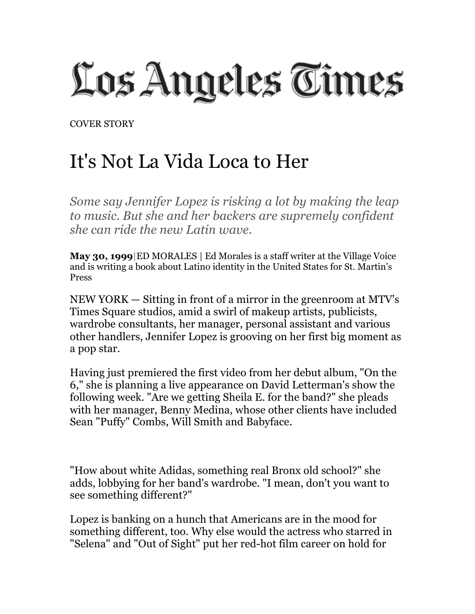Los Angeles Times

COVER STORY

## It's Not La Vida Loca to Her

*Some say Jennifer Lopez is risking a lot by making the leap to music. But she and her backers are supremely confident she can ride the new Latin wave.*

**May 30, 1999**|ED MORALES | Ed Morales is a staff writer at the Village Voice and is writing a book about Latino identity in the United States for St. Martin's Press

NEW YORK — Sitting in front of a mirror in the greenroom at MTV's Times Square studios, amid a swirl of makeup artists, publicists, wardrobe consultants, her manager, personal assistant and various other handlers, Jennifer Lopez is grooving on her first big moment as a pop star.

Having just premiered the first video from her debut album, "On the 6," she is planning a live appearance on David Letterman's show the following week. "Are we getting Sheila E. for the band?" she pleads with her manager, Benny Medina, whose other clients have included Sean "Puffy" Combs, Will Smith and Babyface.

"How about white Adidas, something real Bronx old school?" she adds, lobbying for her band's wardrobe. "I mean, don't you want to see something different?"

Lopez is banking on a hunch that Americans are in the mood for something different, too. Why else would the actress who starred in "Selena" and "Out of Sight" put her red-hot film career on hold for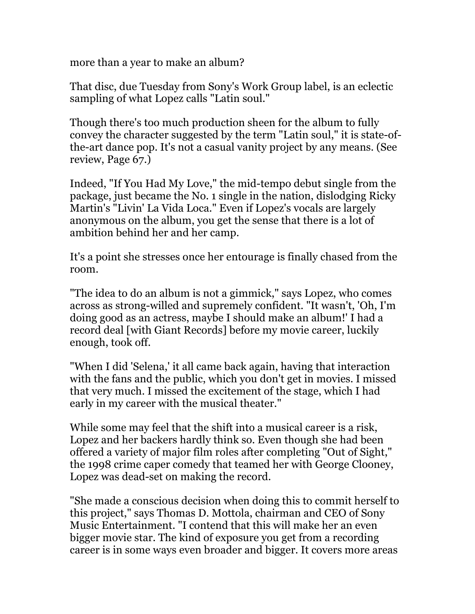more than a year to make an album?

That disc, due Tuesday from Sony's Work Group label, is an eclectic sampling of what Lopez calls "Latin soul."

Though there's too much production sheen for the album to fully convey the character suggested by the term "Latin soul," it is state-ofthe-art dance pop. It's not a casual vanity project by any means. (See review, Page 67.)

Indeed, "If You Had My Love," the mid-tempo debut single from the package, just became the No. 1 single in the nation, dislodging Ricky Martin's "Livin' La Vida Loca." Even if Lopez's vocals are largely anonymous on the album, you get the sense that there is a lot of ambition behind her and her camp.

It's a point she stresses once her entourage is finally chased from the room.

"The idea to do an album is not a gimmick," says Lopez, who comes across as strong-willed and supremely confident. "It wasn't, 'Oh, I'm doing good as an actress, maybe I should make an album!' I had a record deal [with Giant Records] before my movie career, luckily enough, took off.

"When I did 'Selena,' it all came back again, having that interaction with the fans and the public, which you don't get in movies. I missed that very much. I missed the excitement of the stage, which I had early in my career with the musical theater."

While some may feel that the shift into a musical career is a risk, Lopez and her backers hardly think so. Even though she had been offered a variety of major film roles after completing "Out of Sight," the 1998 crime caper comedy that teamed her with George Clooney, Lopez was dead-set on making the record.

"She made a conscious decision when doing this to commit herself to this project," says Thomas D. Mottola, chairman and CEO of Sony Music Entertainment. "I contend that this will make her an even bigger movie star. The kind of exposure you get from a recording career is in some ways even broader and bigger. It covers more areas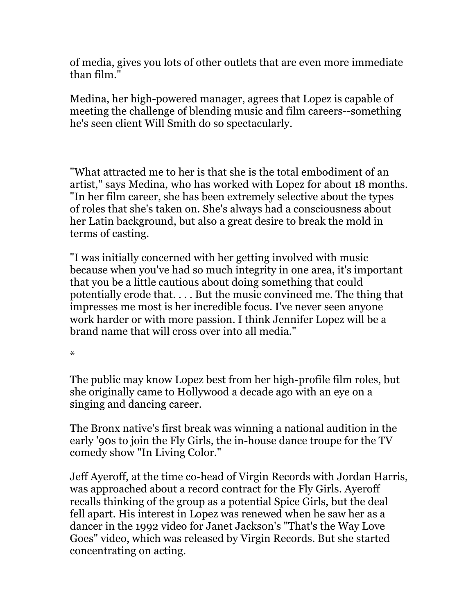of media, gives you lots of other outlets that are even more immediate than film."

Medina, her high-powered manager, agrees that Lopez is capable of meeting the challenge of blending music and film careers--something he's seen client Will Smith do so spectacularly.

"What attracted me to her is that she is the total embodiment of an artist," says Medina, who has worked with Lopez for about 18 months. "In her film career, she has been extremely selective about the types of roles that she's taken on. She's always had a consciousness about her Latin background, but also a great desire to break the mold in terms of casting.

"I was initially concerned with her getting involved with music because when you've had so much integrity in one area, it's important that you be a little cautious about doing something that could potentially erode that. . . . But the music convinced me. The thing that impresses me most is her incredible focus. I've never seen anyone work harder or with more passion. I think Jennifer Lopez will be a brand name that will cross over into all media."

\*

The public may know Lopez best from her high-profile film roles, but she originally came to Hollywood a decade ago with an eye on a singing and dancing career.

The Bronx native's first break was winning a national audition in the early '90s to join the Fly Girls, the in-house dance troupe for the TV comedy show "In Living Color."

Jeff Ayeroff, at the time co-head of Virgin Records with Jordan Harris, was approached about a record contract for the Fly Girls. Ayeroff recalls thinking of the group as a potential Spice Girls, but the deal fell apart. His interest in Lopez was renewed when he saw her as a dancer in the 1992 video for Janet Jackson's "That's the Way Love Goes" video, which was released by Virgin Records. But she started concentrating on acting.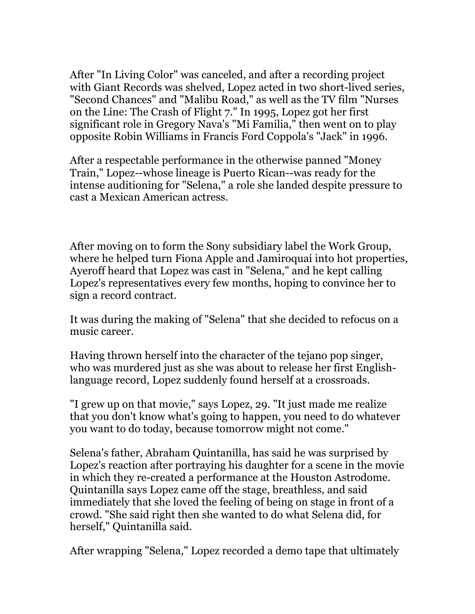After "In Living Color" was canceled, and after a recording project with Giant Records was shelved, Lopez acted in two short-lived series, "Second Chances" and "Malibu Road," as well as the TV film "Nurses on the Line: The Crash of Flight 7." In 1995, Lopez got her first significant role in Gregory Nava's "Mi Familia," then went on to play opposite Robin Williams in Francis Ford Coppola's "Jack" in 1996.

After a respectable performance in the otherwise panned "Money Train," Lopez--whose lineage is Puerto Rican--was ready for the intense auditioning for "Selena," a role she landed despite pressure to cast a Mexican American actress.

After moving on to form the Sony subsidiary label the Work Group, where he helped turn Fiona Apple and Jamiroquai into hot properties, Ayeroff heard that Lopez was cast in "Selena," and he kept calling Lopez's representatives every few months, hoping to convince her to sign a record contract.

It was during the making of "Selena" that she decided to refocus on a music career.

Having thrown herself into the character of the tejano pop singer, who was murdered just as she was about to release her first Englishlanguage record, Lopez suddenly found herself at a crossroads.

"I grew up on that movie," says Lopez, 29. "It just made me realize that you don't know what's going to happen, you need to do whatever you want to do today, because tomorrow might not come."

Selena's father, Abraham Quintanilla, has said he was surprised by Lopez's reaction after portraying his daughter for a scene in the movie in which they re-created a performance at the Houston Astrodome. Quintanilla says Lopez came off the stage, breathless, and said immediately that she loved the feeling of being on stage in front of a crowd. "She said right then she wanted to do what Selena did, for herself," Quintanilla said.

After wrapping "Selena," Lopez recorded a demo tape that ultimately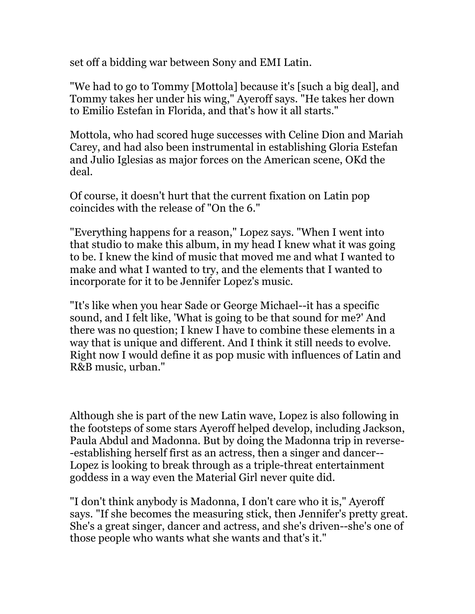set off a bidding war between Sony and EMI Latin.

"We had to go to Tommy [Mottola] because it's [such a big deal], and Tommy takes her under his wing," Ayeroff says. "He takes her down to Emilio Estefan in Florida, and that's how it all starts."

Mottola, who had scored huge successes with Celine Dion and Mariah Carey, and had also been instrumental in establishing Gloria Estefan and Julio Iglesias as major forces on the American scene, OKd the deal.

Of course, it doesn't hurt that the current fixation on Latin pop coincides with the release of "On the 6."

"Everything happens for a reason," Lopez says. "When I went into that studio to make this album, in my head I knew what it was going to be. I knew the kind of music that moved me and what I wanted to make and what I wanted to try, and the elements that I wanted to incorporate for it to be Jennifer Lopez's music.

"It's like when you hear Sade or George Michael--it has a specific sound, and I felt like, 'What is going to be that sound for me?' And there was no question; I knew I have to combine these elements in a way that is unique and different. And I think it still needs to evolve. Right now I would define it as pop music with influences of Latin and R&B music, urban."

Although she is part of the new Latin wave, Lopez is also following in the footsteps of some stars Ayeroff helped develop, including Jackson, Paula Abdul and Madonna. But by doing the Madonna trip in reverse- -establishing herself first as an actress, then a singer and dancer-- Lopez is looking to break through as a triple-threat entertainment goddess in a way even the Material Girl never quite did.

"I don't think anybody is Madonna, I don't care who it is," Ayeroff says. "If she becomes the measuring stick, then Jennifer's pretty great. She's a great singer, dancer and actress, and she's driven--she's one of those people who wants what she wants and that's it."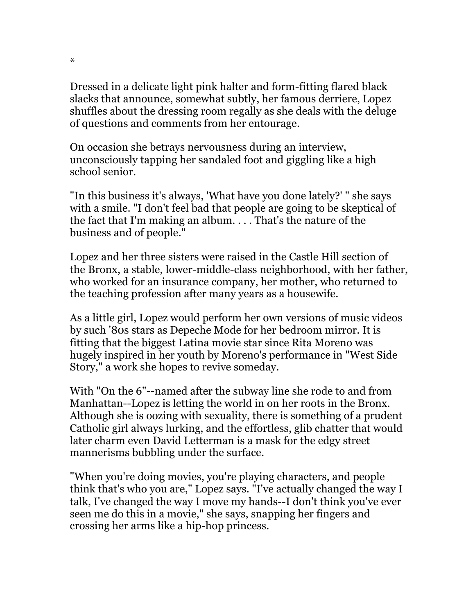Dressed in a delicate light pink halter and form-fitting flared black slacks that announce, somewhat subtly, her famous derriere, Lopez shuffles about the dressing room regally as she deals with the deluge of questions and comments from her entourage.

On occasion she betrays nervousness during an interview, unconsciously tapping her sandaled foot and giggling like a high school senior.

"In this business it's always, 'What have you done lately?' " she says with a smile. "I don't feel bad that people are going to be skeptical of the fact that I'm making an album. . . . That's the nature of the business and of people."

Lopez and her three sisters were raised in the Castle Hill section of the Bronx, a stable, lower-middle-class neighborhood, with her father, who worked for an insurance company, her mother, who returned to the teaching profession after many years as a housewife.

As a little girl, Lopez would perform her own versions of music videos by such '80s stars as Depeche Mode for her bedroom mirror. It is fitting that the biggest Latina movie star since Rita Moreno was hugely inspired in her youth by Moreno's performance in "West Side Story," a work she hopes to revive someday.

With "On the 6"--named after the subway line she rode to and from Manhattan--Lopez is letting the world in on her roots in the Bronx. Although she is oozing with sexuality, there is something of a prudent Catholic girl always lurking, and the effortless, glib chatter that would later charm even David Letterman is a mask for the edgy street mannerisms bubbling under the surface.

"When you're doing movies, you're playing characters, and people think that's who you are," Lopez says. "I've actually changed the way I talk, I've changed the way I move my hands--I don't think you've ever seen me do this in a movie," she says, snapping her fingers and crossing her arms like a hip-hop princess.

\*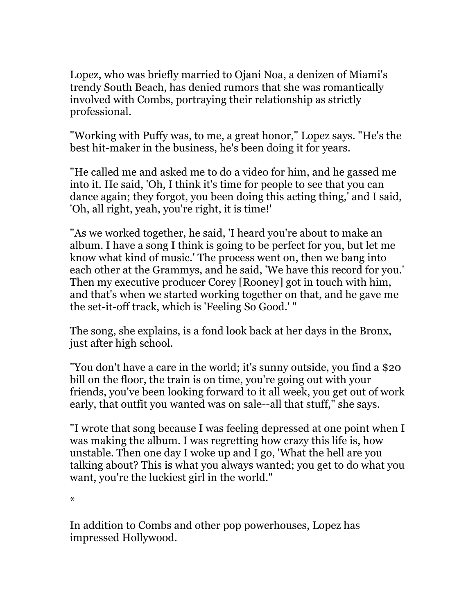Lopez, who was briefly married to Ojani Noa, a denizen of Miami's trendy South Beach, has denied rumors that she was romantically involved with Combs, portraying their relationship as strictly professional.

"Working with Puffy was, to me, a great honor," Lopez says. "He's the best hit-maker in the business, he's been doing it for years.

"He called me and asked me to do a video for him, and he gassed me into it. He said, 'Oh, I think it's time for people to see that you can dance again; they forgot, you been doing this acting thing,' and I said, 'Oh, all right, yeah, you're right, it is time!'

"As we worked together, he said, 'I heard you're about to make an album. I have a song I think is going to be perfect for you, but let me know what kind of music.' The process went on, then we bang into each other at the Grammys, and he said, 'We have this record for you.' Then my executive producer Corey [Rooney] got in touch with him, and that's when we started working together on that, and he gave me the set-it-off track, which is 'Feeling So Good.' "

The song, she explains, is a fond look back at her days in the Bronx, just after high school.

"You don't have a care in the world; it's sunny outside, you find a \$20 bill on the floor, the train is on time, you're going out with your friends, you've been looking forward to it all week, you get out of work early, that outfit you wanted was on sale--all that stuff," she says.

"I wrote that song because I was feeling depressed at one point when I was making the album. I was regretting how crazy this life is, how unstable. Then one day I woke up and I go, 'What the hell are you talking about? This is what you always wanted; you get to do what you want, you're the luckiest girl in the world."

\*

In addition to Combs and other pop powerhouses, Lopez has impressed Hollywood.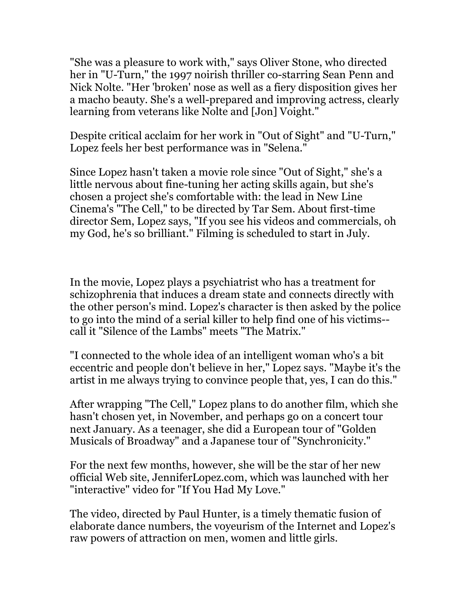"She was a pleasure to work with," says Oliver Stone, who directed her in "U-Turn," the 1997 noirish thriller co-starring Sean Penn and Nick Nolte. "Her 'broken' nose as well as a fiery disposition gives her a macho beauty. She's a well-prepared and improving actress, clearly learning from veterans like Nolte and [Jon] Voight."

Despite critical acclaim for her work in "Out of Sight" and "U-Turn," Lopez feels her best performance was in "Selena."

Since Lopez hasn't taken a movie role since "Out of Sight," she's a little nervous about fine-tuning her acting skills again, but she's chosen a project she's comfortable with: the lead in New Line Cinema's "The Cell," to be directed by Tar Sem. About first-time director Sem, Lopez says, "If you see his videos and commercials, oh my God, he's so brilliant." Filming is scheduled to start in July.

In the movie, Lopez plays a psychiatrist who has a treatment for schizophrenia that induces a dream state and connects directly with the other person's mind. Lopez's character is then asked by the police to go into the mind of a serial killer to help find one of his victims- call it "Silence of the Lambs" meets "The Matrix."

"I connected to the whole idea of an intelligent woman who's a bit eccentric and people don't believe in her," Lopez says. "Maybe it's the artist in me always trying to convince people that, yes, I can do this."

After wrapping "The Cell," Lopez plans to do another film, which she hasn't chosen yet, in November, and perhaps go on a concert tour next January. As a teenager, she did a European tour of "Golden Musicals of Broadway" and a Japanese tour of "Synchronicity."

For the next few months, however, she will be the star of her new official Web site, JenniferLopez.com, which was launched with her "interactive" video for "If You Had My Love."

The video, directed by Paul Hunter, is a timely thematic fusion of elaborate dance numbers, the voyeurism of the Internet and Lopez's raw powers of attraction on men, women and little girls.